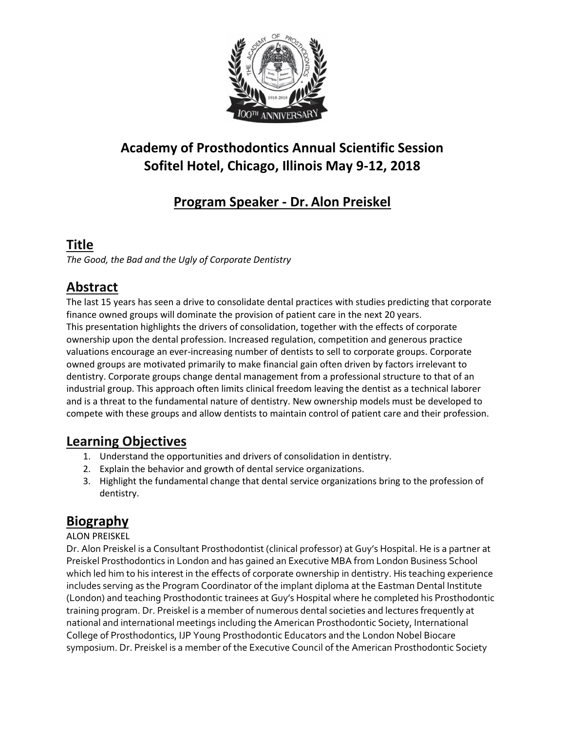

# **Academy of Prosthodontics Annual Scientific Session Sofitel Hotel, Chicago, Illinois May 9-12, 2018**

# **Program Speaker - Dr. Alon Preiskel**

### **Title**

*The Good, the Bad and the Ugly of Corporate Dentistry*

## **Abstract**

The last 15 years has seen a drive to consolidate dental practices with studies predicting that corporate finance owned groups will dominate the provision of patient care in the next 20 years. This presentation highlights the drivers of consolidation, together with the effects of corporate ownership upon the dental profession. Increased regulation, competition and generous practice valuations encourage an ever-increasing number of dentists to sell to corporate groups. Corporate owned groups are motivated primarily to make financial gain often driven by factors irrelevant to dentistry. Corporate groups change dental management from a professional structure to that of an industrial group. This approach often limits clinical freedom leaving the dentist as a technical laborer and is a threat to the fundamental nature of dentistry. New ownership models must be developed to compete with these groups and allow dentists to maintain control of patient care and their profession.

#### **Learning Objectives**

- 1. Understand the opportunities and drivers of consolidation in dentistry.
- 2. Explain the behavior and growth of dental service organizations.
- 3. Highlight the fundamental change that dental service organizations bring to the profession of dentistry.

### **Biography**

#### ALON PREISKEL

Dr. Alon Preiskel is a Consultant Prosthodontist (clinical professor) at Guy's Hospital. He is a partner at Preiskel Prosthodontics in London and has gained an Executive MBA from London Business School which led him to his interest in the effects of corporate ownership in dentistry. His teaching experience includes serving as the Program Coordinator of the implant diploma at the Eastman Dental Institute (London) and teaching Prosthodontic trainees at Guy's Hospital where he completed his Prosthodontic training program. Dr. Preiskel is a member of numerous dental societies and lectures frequently at national and international meetings including the American Prosthodontic Society, International College of Prosthodontics, IJP Young Prosthodontic Educators and the London Nobel Biocare symposium. Dr. Preiskel is a member of the Executive Council of the American Prosthodontic Society